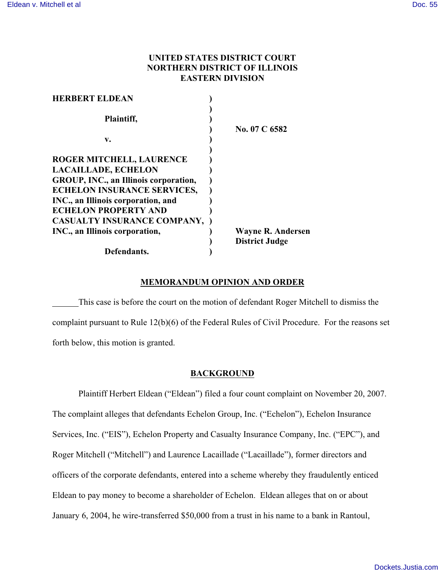# **UNITED STATES DISTRICT COURT NORTHERN DISTRICT OF ILLINOIS EASTERN DIVISION**

| <b>HERBERT ELDEAN</b>                 |                          |
|---------------------------------------|--------------------------|
| Plaintiff,                            |                          |
|                                       | No. 07 C 6582            |
| v.                                    |                          |
| ROGER MITCHELL, LAURENCE              |                          |
| <b>LACAILLADE, ECHELON</b>            |                          |
| GROUP, INC., an Illinois corporation, |                          |
| <b>ECHELON INSURANCE SERVICES,</b>    |                          |
| INC., an Illinois corporation, and    |                          |
| <b>ECHELON PROPERTY AND</b>           |                          |
| CASUALTY INSURANCE COMPANY,           |                          |
| INC., an Illinois corporation,        | <b>Wayne R. Andersen</b> |
|                                       | <b>District Judge</b>    |
| Defendants.                           |                          |

### **MEMORANDUM OPINION AND ORDER**

This case is before the court on the motion of defendant Roger Mitchell to dismiss the complaint pursuant to Rule 12(b)(6) of the Federal Rules of Civil Procedure. For the reasons set forth below, this motion is granted.

# **BACKGROUND**

Plaintiff Herbert Eldean ("Eldean") filed a four count complaint on November 20, 2007. The complaint alleges that defendants Echelon Group, Inc. ("Echelon"), Echelon Insurance Services, Inc. ("EIS"), Echelon Property and Casualty Insurance Company, Inc. ("EPC"), and Roger Mitchell ("Mitchell") and Laurence Lacaillade ("Lacaillade"), former directors and officers of the corporate defendants, entered into a scheme whereby they fraudulently enticed Eldean to pay money to become a shareholder of Echelon. Eldean alleges that on or about January 6, 2004, he wire-transferred \$50,000 from a trust in his name to a bank in Rantoul,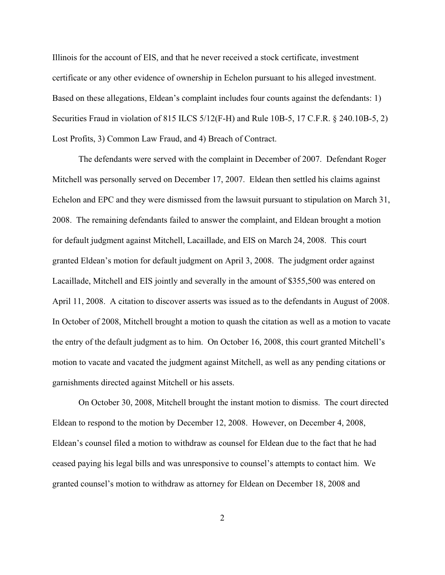Illinois for the account of EIS, and that he never received a stock certificate, investment certificate or any other evidence of ownership in Echelon pursuant to his alleged investment. Based on these allegations, Eldean's complaint includes four counts against the defendants: 1) Securities Fraud in violation of 815 ILCS 5/12(F-H) and Rule 10B-5, 17 C.F.R. § 240.10B-5, 2) Lost Profits, 3) Common Law Fraud, and 4) Breach of Contract.

The defendants were served with the complaint in December of 2007. Defendant Roger Mitchell was personally served on December 17, 2007. Eldean then settled his claims against Echelon and EPC and they were dismissed from the lawsuit pursuant to stipulation on March 31, 2008. The remaining defendants failed to answer the complaint, and Eldean brought a motion for default judgment against Mitchell, Lacaillade, and EIS on March 24, 2008. This court granted Eldean's motion for default judgment on April 3, 2008. The judgment order against Lacaillade, Mitchell and EIS jointly and severally in the amount of \$355,500 was entered on April 11, 2008. A citation to discover asserts was issued as to the defendants in August of 2008. In October of 2008, Mitchell brought a motion to quash the citation as well as a motion to vacate the entry of the default judgment as to him. On October 16, 2008, this court granted Mitchell's motion to vacate and vacated the judgment against Mitchell, as well as any pending citations or garnishments directed against Mitchell or his assets.

On October 30, 2008, Mitchell brought the instant motion to dismiss. The court directed Eldean to respond to the motion by December 12, 2008. However, on December 4, 2008, Eldean's counsel filed a motion to withdraw as counsel for Eldean due to the fact that he had ceased paying his legal bills and was unresponsive to counsel's attempts to contact him. We granted counsel's motion to withdraw as attorney for Eldean on December 18, 2008 and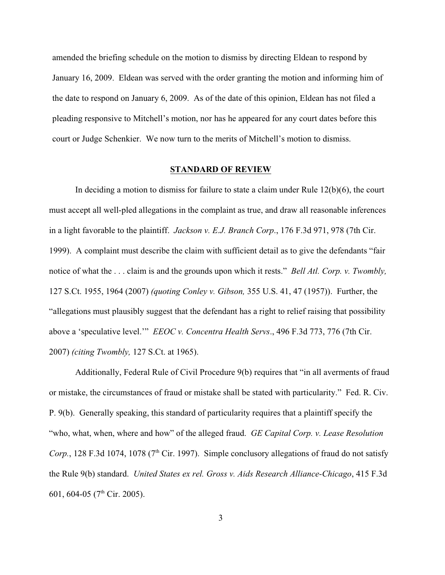amended the briefing schedule on the motion to dismiss by directing Eldean to respond by January 16, 2009. Eldean was served with the order granting the motion and informing him of the date to respond on January 6, 2009. As of the date of this opinion, Eldean has not filed a pleading responsive to Mitchell's motion, nor has he appeared for any court dates before this court or Judge Schenkier. We now turn to the merits of Mitchell's motion to dismiss.

# **STANDARD OF REVIEW**

In deciding a motion to dismiss for failure to state a claim under Rule 12(b)(6), the court must accept all well-pled allegations in the complaint as true, and draw all reasonable inferences in a light favorable to the plaintiff. *Jackson v. E.J. Branch Corp*., 176 F.3d 971, 978 (7th Cir. 1999).A complaint must describe the claim with sufficient detail as to give the defendants "fair notice of what the . . . claim is and the grounds upon which it rests." *Bell Atl. Corp. v. Twombly,* 127 S.Ct. 1955, 1964 (2007) *(quoting Conley v. Gibson,* 355 U.S. 41, 47 (1957)).Further, the "allegations must plausibly suggest that the defendant has a right to relief raising that possibility above a 'speculative level.'" *EEOC v. Concentra Health Servs*., 496 F.3d 773, 776 (7th Cir. 2007) *(citing Twombly,* 127 S.Ct. at 1965).

Additionally, Federal Rule of Civil Procedure 9(b) requires that "in all averments of fraud or mistake, the circumstances of fraud or mistake shall be stated with particularity." Fed. R. Civ. P. 9(b). Generally speaking, this standard of particularity requires that a plaintiff specify the "who, what, when, where and how" of the alleged fraud. *GE Capital Corp. v. Lease Resolution Corp.*, 128 F.3d 1074, 1078 (7<sup>th</sup> Cir. 1997). Simple conclusory allegations of fraud do not satisfy the Rule 9(b) standard. *United States ex rel. Gross v. Aids Research Alliance-Chicago*, 415 F.3d 601, 604-05 (7<sup>th</sup> Cir. 2005).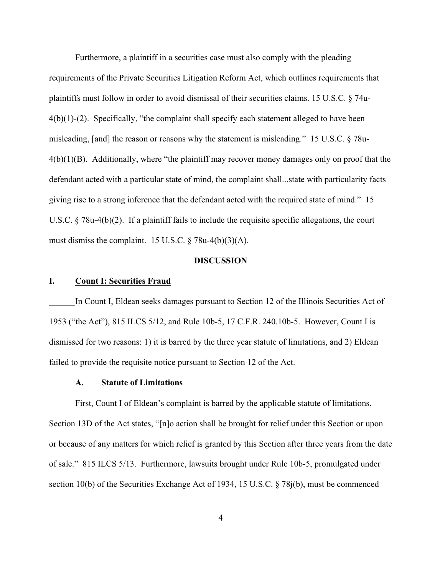Furthermore, a plaintiff in a securities case must also comply with the pleading requirements of the Private Securities Litigation Reform Act, which outlines requirements that plaintiffs must follow in order to avoid dismissal of their securities claims. 15 U.S.C. § 74u- $4(b)(1)-(2)$ . Specifically, "the complaint shall specify each statement alleged to have been misleading, [and] the reason or reasons why the statement is misleading." 15 U.S.C. § 78u-4(b)(1)(B). Additionally, where "the plaintiff may recover money damages only on proof that the defendant acted with a particular state of mind, the complaint shall...state with particularity facts giving rise to a strong inference that the defendant acted with the required state of mind." 15 U.S.C. § 78u-4(b)(2). If a plaintiff fails to include the requisite specific allegations, the court must dismiss the complaint. 15 U.S.C.  $\S$  78u-4(b)(3)(A).

# **DISCUSSION**

# **I. Count I: Securities Fraud**

In Count I, Eldean seeks damages pursuant to Section 12 of the Illinois Securities Act of 1953 ("the Act"), 815 ILCS 5/12, and Rule 10b-5, 17 C.F.R. 240.10b-5. However, Count I is dismissed for two reasons: 1) it is barred by the three year statute of limitations, and 2) Eldean failed to provide the requisite notice pursuant to Section 12 of the Act.

# **A. Statute of Limitations**

First, Count I of Eldean's complaint is barred by the applicable statute of limitations. Section 13D of the Act states, "[n]o action shall be brought for relief under this Section or upon or because of any matters for which relief is granted by this Section after three years from the date of sale." 815 ILCS 5/13. Furthermore, lawsuits brought under Rule 10b-5, promulgated under section 10(b) of the Securities Exchange Act of 1934, 15 U.S.C. § 78j(b), must be commenced

4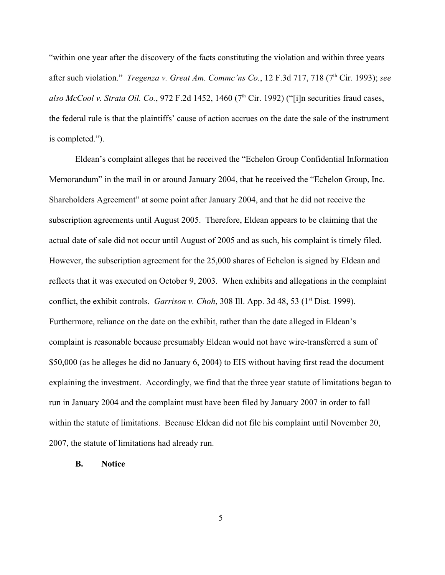"within one year after the discovery of the facts constituting the violation and within three years after such violation." *Tregenza v. Great Am. Commc'ns Co.*, 12 F.3d 717, 718 (7<sup>th</sup> Cir. 1993); *see also McCool v. Strata Oil. Co.*, 972 F.2d 1452, 1460 ( $7<sup>th</sup>$  Cir. 1992) ("[i]n securities fraud cases, the federal rule is that the plaintiffs' cause of action accrues on the date the sale of the instrument is completed.").

Eldean's complaint alleges that he received the "Echelon Group Confidential Information Memorandum" in the mail in or around January 2004, that he received the "Echelon Group, Inc. Shareholders Agreement" at some point after January 2004, and that he did not receive the subscription agreements until August 2005. Therefore, Eldean appears to be claiming that the actual date of sale did not occur until August of 2005 and as such, his complaint is timely filed. However, the subscription agreement for the 25,000 shares of Echelon is signed by Eldean and reflects that it was executed on October 9, 2003. When exhibits and allegations in the complaint conflict, the exhibit controls. *Garrison v. Choh*, 308 Ill. App. 3d 48, 53 ( $1<sup>st</sup>$  Dist. 1999). Furthermore, reliance on the date on the exhibit, rather than the date alleged in Eldean's complaint is reasonable because presumably Eldean would not have wire-transferred a sum of \$50,000 (as he alleges he did no January 6, 2004) to EIS without having first read the document explaining the investment. Accordingly, we find that the three year statute of limitations began to run in January 2004 and the complaint must have been filed by January 2007 in order to fall within the statute of limitations. Because Eldean did not file his complaint until November 20, 2007, the statute of limitations had already run.

# **B. Notice**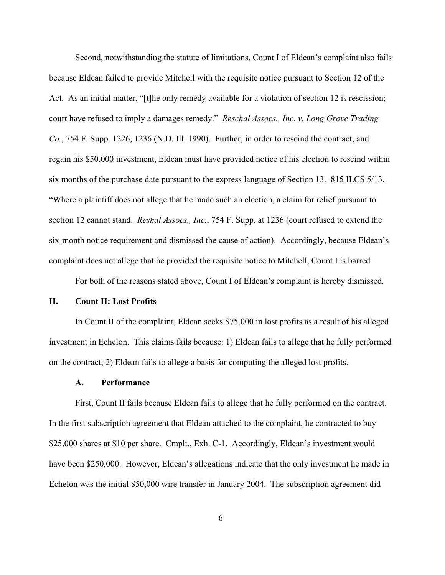Second, notwithstanding the statute of limitations, Count I of Eldean's complaint also fails because Eldean failed to provide Mitchell with the requisite notice pursuant to Section 12 of the Act. As an initial matter, "[t]he only remedy available for a violation of section 12 is rescission; court have refused to imply a damages remedy." *Reschal Assocs., Inc. v. Long Grove Trading Co.*, 754 F. Supp. 1226, 1236 (N.D. Ill. 1990). Further, in order to rescind the contract, and regain his \$50,000 investment, Eldean must have provided notice of his election to rescind within six months of the purchase date pursuant to the express language of Section 13. 815 ILCS 5/13. "Where a plaintiff does not allege that he made such an election, a claim for relief pursuant to section 12 cannot stand. *Reshal Assocs., Inc.*, 754 F. Supp. at 1236 (court refused to extend the six-month notice requirement and dismissed the cause of action). Accordingly, because Eldean's complaint does not allege that he provided the requisite notice to Mitchell, Count I is barred

For both of the reasons stated above, Count I of Eldean's complaint is hereby dismissed.

# **II. Count II: Lost Profits**

In Count II of the complaint, Eldean seeks \$75,000 in lost profits as a result of his alleged investment in Echelon. This claims fails because: 1) Eldean fails to allege that he fully performed on the contract; 2) Eldean fails to allege a basis for computing the alleged lost profits.

### **A. Performance**

First, Count II fails because Eldean fails to allege that he fully performed on the contract. In the first subscription agreement that Eldean attached to the complaint, he contracted to buy \$25,000 shares at \$10 per share. Cmplt., Exh. C-1. Accordingly, Eldean's investment would have been \$250,000. However, Eldean's allegations indicate that the only investment he made in Echelon was the initial \$50,000 wire transfer in January 2004. The subscription agreement did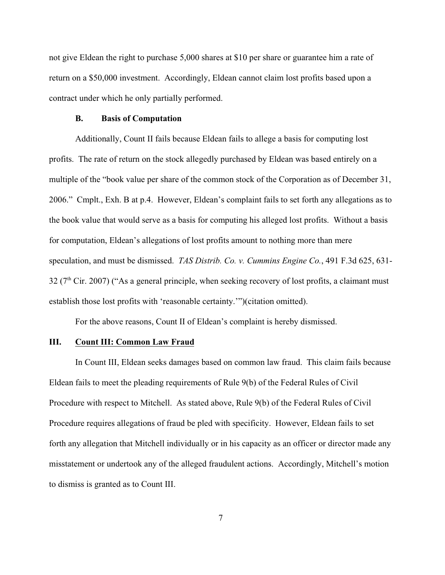not give Eldean the right to purchase 5,000 shares at \$10 per share or guarantee him a rate of return on a \$50,000 investment. Accordingly, Eldean cannot claim lost profits based upon a contract under which he only partially performed.

### **B. Basis of Computation**

Additionally, Count II fails because Eldean fails to allege a basis for computing lost profits. The rate of return on the stock allegedly purchased by Eldean was based entirely on a multiple of the "book value per share of the common stock of the Corporation as of December 31, 2006." Cmplt., Exh. B at p.4. However, Eldean's complaint fails to set forth any allegations as to the book value that would serve as a basis for computing his alleged lost profits. Without a basis for computation, Eldean's allegations of lost profits amount to nothing more than mere speculation, and must be dismissed. *TAS Distrib. Co. v. Cummins Engine Co.*, 491 F.3d 625, 631- 32 ( $7<sup>th</sup>$  Cir. 2007) ("As a general principle, when seeking recovery of lost profits, a claimant must establish those lost profits with 'reasonable certainty.'")(citation omitted).

For the above reasons, Count II of Eldean's complaint is hereby dismissed.

#### **III. Count III: Common Law Fraud**

In Count III, Eldean seeks damages based on common law fraud. This claim fails because Eldean fails to meet the pleading requirements of Rule 9(b) of the Federal Rules of Civil Procedure with respect to Mitchell. As stated above, Rule 9(b) of the Federal Rules of Civil Procedure requires allegations of fraud be pled with specificity. However, Eldean fails to set forth any allegation that Mitchell individually or in his capacity as an officer or director made any misstatement or undertook any of the alleged fraudulent actions. Accordingly, Mitchell's motion to dismiss is granted as to Count III.

7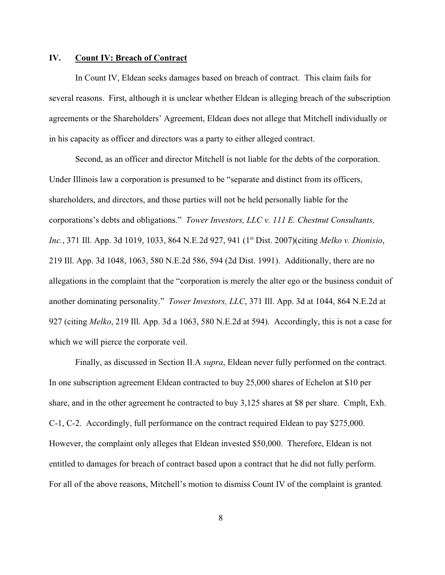### **IV. Count IV: Breach of Contract**

In Count IV, Eldean seeks damages based on breach of contract. This claim fails for several reasons. First, although it is unclear whether Eldean is alleging breach of the subscription agreements or the Shareholders' Agreement, Eldean does not allege that Mitchell individually or in his capacity as officer and directors was a party to either alleged contract.

Second, as an officer and director Mitchell is not liable for the debts of the corporation. Under Illinois law a corporation is presumed to be "separate and distinct from its officers, shareholders, and directors, and those parties will not be held personally liable for the corporations's debts and obligations." *Tower Investors, LLC v. 111 E. Chestnut Consultants,* Inc., 371 Ill. App. 3d 1019, 1033, 864 N.E.2d 927, 941 (1<sup>st</sup> Dist. 2007)(citing *Melko v. Dionisio*, 219 Ill. App. 3d 1048, 1063, 580 N.E.2d 586, 594 (2d Dist. 1991). Additionally, there are no allegations in the complaint that the "corporation is merely the alter ego or the business conduit of another dominating personality." *Tower Investors, LLC*, 371 Ill. App. 3d at 1044, 864 N.E.2d at 927 (citing *Melko*, 219 Ill. App. 3d a 1063, 580 N.E.2d at 594). Accordingly, this is not a case for which we will pierce the corporate veil.

Finally, as discussed in Section II.A *supra*, Eldean never fully performed on the contract. In one subscription agreement Eldean contracted to buy 25,000 shares of Echelon at \$10 per share, and in the other agreement he contracted to buy 3,125 shares at \$8 per share. Cmplt, Exh. C-1, C-2. Accordingly, full performance on the contract required Eldean to pay \$275,000. However, the complaint only alleges that Eldean invested \$50,000. Therefore, Eldean is not entitled to damages for breach of contract based upon a contract that he did not fully perform. For all of the above reasons, Mitchell's motion to dismiss Count IV of the complaint is granted.

8